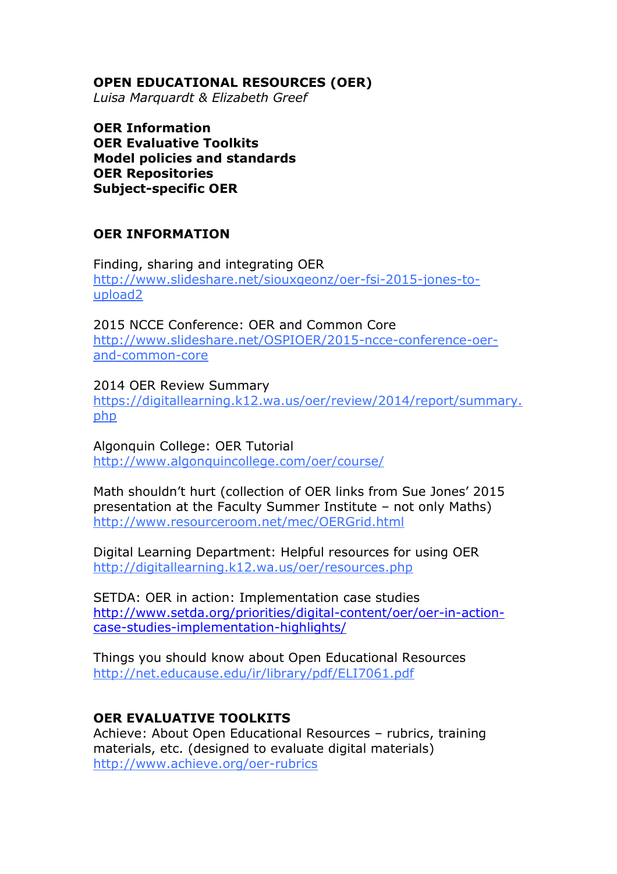## **OPEN EDUCATIONAL RESOURCES (OER)**

*Luisa Marquardt & Elizabeth Greef* 

**OER Information OER Evaluative Toolkits Model policies and standards OER Repositories Subject-specific OER**

## **OER INFORMATION**

Finding, sharing and integrating OER [http://www.slideshare.net/siouxgeonz/oer-fsi-2015-jones-to](http://www.slideshare.net/siouxgeonz/oer-fsi-2015-jones-to-upload2)[upload2](http://www.slideshare.net/siouxgeonz/oer-fsi-2015-jones-to-upload2)

2015 NCCE Conference: OER and Common Core [http://www.slideshare.net/OSPIOER/2015-ncce-conference-oer](http://www.slideshare.net/OSPIOER/2015-ncce-conference-oer-and-common-core)[and-common-core](http://www.slideshare.net/OSPIOER/2015-ncce-conference-oer-and-common-core)

2014 OER Review Summary [https://digitallearning.k12.wa.us/oer/review/2014/report/summary.](https://digitallearning.k12.wa.us/oer/review/2014/report/summary.php) [php](https://digitallearning.k12.wa.us/oer/review/2014/report/summary.php)

Algonquin College: OER Tutorial <http://www.algonquincollege.com/oer/course/>

Math shouldn't hurt (collection of OER links from Sue Jones' 2015 presentation at the Faculty Summer Institute – not only Maths) <http://www.resourceroom.net/mec/OERGrid.html>

Digital Learning Department: Helpful resources for using OER <http://digitallearning.k12.wa.us/oer/resources.php>

SETDA: OER in action: Implementation case studies [http://www.setda.org/priorities/digital-content/oer/oer-in-action](http://www.setda.org/priorities/digital-content/oer/oer-in-action-case-studies-implementation-highlights/)[case-studies-implementation-highlights/](http://www.setda.org/priorities/digital-content/oer/oer-in-action-case-studies-implementation-highlights/)

Things you should know about Open Educational Resources <http://net.educause.edu/ir/library/pdf/ELI7061.pdf>

## **OER EVALUATIVE TOOLKITS**

Achieve: About Open Educational Resources – rubrics, training materials, etc. (designed to evaluate digital materials) <http://www.achieve.org/oer-rubrics>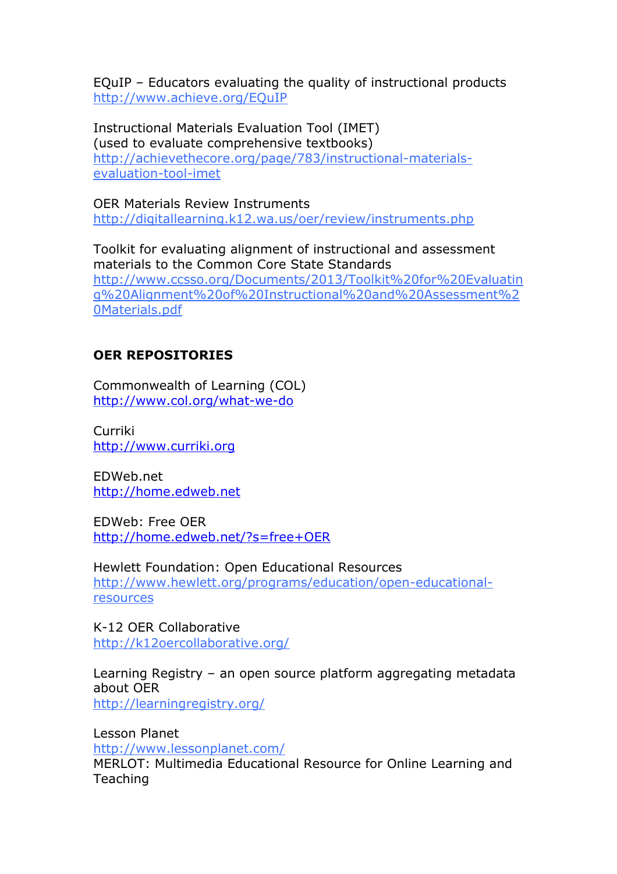EQuIP – Educators evaluating the quality of instructional products <http://www.achieve.org/EQuIP>

Instructional Materials Evaluation Tool (IMET) (used to evaluate comprehensive textbooks) [http://achievethecore.org/page/783/instructional-materials](http://achievethecore.org/page/783/instructional-materials-evaluation-tool-imet)[evaluation-tool-imet](http://achievethecore.org/page/783/instructional-materials-evaluation-tool-imet)

OER Materials Review Instruments <http://digitallearning.k12.wa.us/oer/review/instruments.php>

Toolkit for evaluating alignment of instructional and assessment materials to the Common Core State Standards [http://www.ccsso.org/Documents/2013/Toolkit%20for%20Evaluatin](http://www.ccsso.org/Documents/2013/Toolkit%20for%20Evaluating%20Alignment%20of%20Instructional%20and%20Assessment%20Materials.pdf) [g%20Alignment%20of%20Instructional%20and%20Assessment%2](http://www.ccsso.org/Documents/2013/Toolkit%20for%20Evaluating%20Alignment%20of%20Instructional%20and%20Assessment%20Materials.pdf) [0Materials.pdf](http://www.ccsso.org/Documents/2013/Toolkit%20for%20Evaluating%20Alignment%20of%20Instructional%20and%20Assessment%20Materials.pdf)

## **OER REPOSITORIES**

Commonwealth of Learning (COL) <http://www.col.org/what-we-do>

Curriki [http://www.curriki.org](http://www.curriki.org/)

EDWeb.net [http://home.edweb.net](http://home.edweb.net/)

EDWeb: Free OER <http://home.edweb.net/?s=free+OER>

Hewlett Foundation: Open Educational Resources [http://www.hewlett.org/programs/education/open-educational](http://www.hewlett.org/programs/education/open-educational-resources)[resources](http://www.hewlett.org/programs/education/open-educational-resources)

K-12 OER Collaborative <http://k12oercollaborative.org/>

Learning Registry – an open source platform aggregating metadata about OER <http://learningregistry.org/>

Lesson Planet <http://www.lessonplanet.com/> MERLOT: Multimedia Educational Resource for Online Learning and Teaching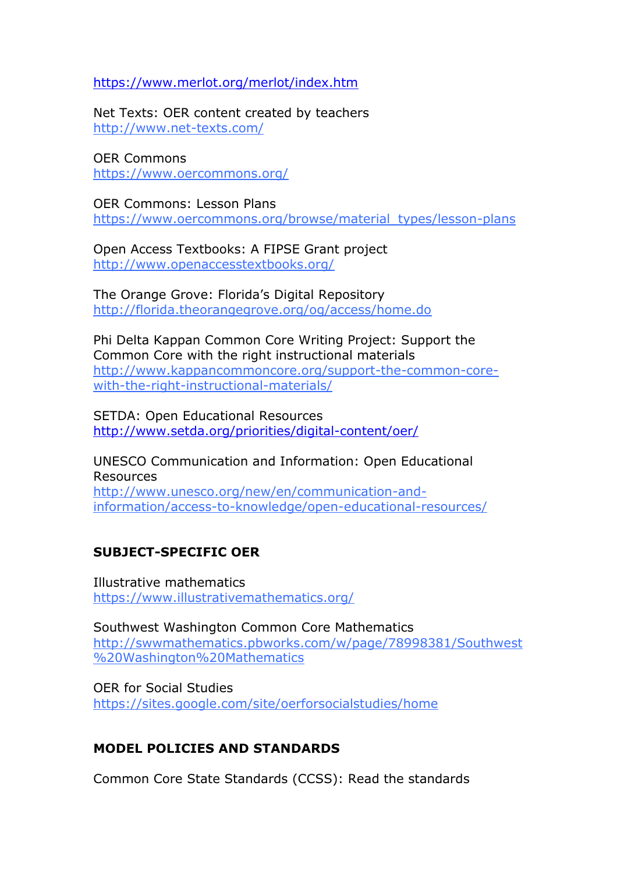<https://www.merlot.org/merlot/index.htm>

Net Texts: OER content created by teachers <http://www.net-texts.com/>

OER Commons <https://www.oercommons.org/>

OER Commons: Lesson Plans [https://www.oercommons.org/browse/material\\_types/lesson-plans](https://www.oercommons.org/browse/material_types/lesson-plans)

Open Access Textbooks: A FIPSE Grant project <http://www.openaccesstextbooks.org/>

The Orange Grove: Florida's Digital Repository <http://florida.theorangegrove.org/og/access/home.do>

Phi Delta Kappan Common Core Writing Project: Support the Common Core with the right instructional materials [http://www.kappancommoncore.org/support-the-common-core](http://www.kappancommoncore.org/support-the-common-core-with-the-right-instructional-materials/)[with-the-right-instructional-materials/](http://www.kappancommoncore.org/support-the-common-core-with-the-right-instructional-materials/)

SETDA: Open Educational Resources <http://www.setda.org/priorities/digital-content/oer/>

UNESCO Communication and Information: Open Educational Resources [http://www.unesco.org/new/en/communication-and](http://www.unesco.org/new/en/communication-and-information/access-to-knowledge/open-educational-resources/)[information/access-to-knowledge/open-educational-resources/](http://www.unesco.org/new/en/communication-and-information/access-to-knowledge/open-educational-resources/)

# **SUBJECT-SPECIFIC OER**

Illustrative mathematics <https://www.illustrativemathematics.org/>

Southwest Washington Common Core Mathematics [http://swwmathematics.pbworks.com/w/page/78998381/Southwest](http://swwmathematics.pbworks.com/w/page/78998381/Southwest%20Washington%20Mathematics) [%20Washington%20Mathematics](http://swwmathematics.pbworks.com/w/page/78998381/Southwest%20Washington%20Mathematics)

OER for Social Studies <https://sites.google.com/site/oerforsocialstudies/home>

## **MODEL POLICIES AND STANDARDS**

Common Core State Standards (CCSS): Read the standards